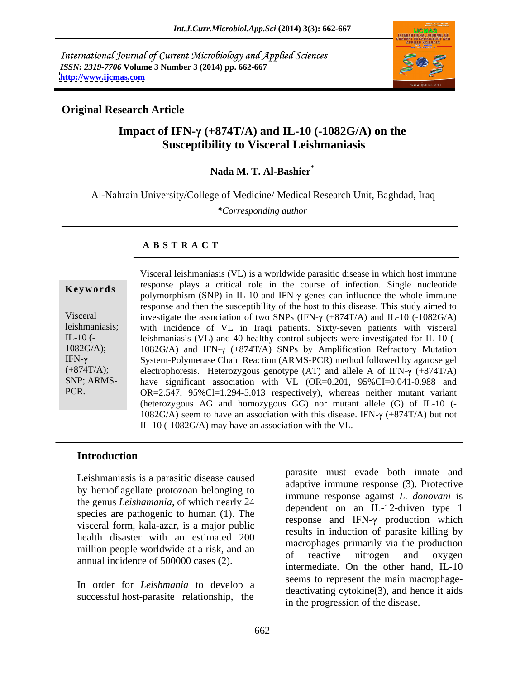International Journal of Current Microbiology and Applied Sciences *ISSN: 2319-7706* **Volume 3 Number 3 (2014) pp. 662-667 <http://www.ijcmas.com>**



### **Original Research Article**

# **Impact of IFN-** $\gamma$  **(+874T/A) and IL-10 (-1082G/A) on the Susceptibility to Visceral Leishmaniasis**

## **Nada M. T. Al-Bashier\***

Al-Nahrain University/College of Medicine/ Medical Research Unit, Baghdad, Iraq

*\*Corresponding author*

#### **A B S T R A C T**

| Keywords                                                                                             |
|------------------------------------------------------------------------------------------------------|
| Visceral<br>leishmaniasis;<br>IL-10 $(-$<br>1082G/A);<br>IFN- $\gamma$<br>$(+874T/A);$<br>SNP; ARMS- |
| PCR.                                                                                                 |

**Keywords** response plays a critical fole in the course of infection. Single incredite polymorphism (SNP) in IL-10 and IFN- $\gamma$  genes can influence the whole immune Visceral investigate the association of two SNPs (IFN- $\gamma$  (+874T/A) and IL-10 (-1082G/A) leishmaniasis; with incidence of VL in Iraqi patients. Sixty-seven patients with visceral IL-10 (- leishmaniasis (VL) and 40 healthy control subjects were investigated for IL-10 (- 1082G/A); 1082G/A) and IFN- $\gamma$  (+874T/A) SNPs by Amplification Refractory Mutation IFN- System-Polymerase Chain Reaction (ARMS-PCR) method followed by agarose gel  $(+874T/A);$  electrophoresis. Heterozygous genotype (AT) and allele A of IFN- $\gamma$  (+874T/A) SNP; ARMS- have significant association with VL (OR=0.201, 95%CI=0.041-0.988 and PCR. OR=2.547, 95%Cl=1.294-5.013 respectively), whereas neither mutant variant Visceral leishmaniasis (VL) is a worldwide parasitic disease in which host immune response plays a critical role in the course of infection. Single nucleotide response and then the susceptibility of the host to this disease. This study aimed to (heterozygous AG and homozygous GG) nor mutant allele (G) of IL-10 (- 1082G/A) seem to have an association with this disease. IFN- $\gamma$  (+874T/A) but not IL-10 (-1082G/A) may have an association with the VL.

### **Introduction**

Leishmaniasis is a parasitic disease caused by hemoflagellate protozoan belonging to the genus *Leishamania*, of which nearly 24 species are pathogenic to human (1). The visceral form, kala-azar, is a major public health disaster with an estimated 200 million people worldwide at a risk, and an of reactive introgen and oxygen annual incidence of 500000 cases (2).

In order for *Leishmania* to develop a successful host-parasite relationship, the

parasite must evade both innate and adaptive immune response (3). Protective immune response against *L. donovani* is dependent on an IL-12-driven type 1 response and IFN- $\gamma$  production which results in induction of parasite killing by macrophages primarily via the production of reactive nitrogen and oxygen intermediate. On the other hand, IL-10 seems to represent the main macrophage  $deactivating cytokine(3)$ , and hence it aids in the progression of the disease.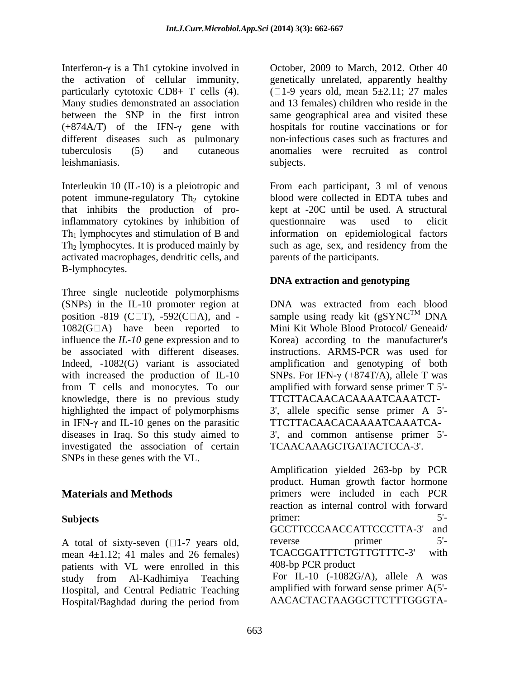Interferon- $\gamma$  is a Th1 cytokine involved in the activation of cellular immunity, genetically unrelated, apparently healthy particularly cytotoxic CD8+ T cells (4).  $(1-9 \text{ years old, mean } 5 \pm 2.11; 27 \text{ males})$ Many studies demonstrated an association and 13 females) children who reside in the between the SNP in the first intron same geographical area and visited these  $(+874A/T)$  of the IFN- $\gamma$  gene with different diseases such as pulmonary tuberculosis (5) and cutaneous anomalies were recruited as control leishmaniasis.

Interleukin 10 (IL-10) is a pleiotropic and From each participant, 3 ml of venous potent immune-regulatory  $Th_2$  cytokine that inhibits the production of pro-<br>kept at -20C until be used. A structural inflammatory cytokines by inhibition of  $Th<sub>1</sub>$  lymphocytes and stimulation of B and information on epidemiological factors Th2 lymphocytes. It is produced mainly by such as age, sex, and residency from the activated macrophages, dendritic cells, and B-lymphocytes.

Three single nucleotide polymorphisms (SNPs) in the IL-10 promoter region at DNA was extracted from each blood position -819 (C $\Box$ T), -592(C $\Box$ A), and - sample using ready kit (gSYNC<sup>TM</sup> DNA  $1082(G \Box A)$  have been reported to influence the *IL-10* gene expression and to Korea) according to the manufacturer's be associated with different diseases. Instructions. ARMS-PCR was used for Indeed, -1082(G) variant is associated amplification and genotyping of both with increased the production of IL-10 SNPs. For IFN- $\gamma$  (+874T/A), allele T was from T cells and monocytes. To our amplified with forward sense primer T 5' knowledge, there is no previous study highlighted the impact of polymorphisms 3', allele specific sense primer A 5' in IFN- $\gamma$  and IL-10 genes on the parasitic diseases in Iraq. So this study aimed to 3', and common antisense primer 5' investigated the association of certain SNPs in these genes with the VL.

mean  $4\pm1.12$ ; 41 males and 26 females) patients with VL were enrolled in this study from Al-Kadhimiya Teaching Hospital, and Central Pediatric Teaching Hospital/Baghdad during the period from October, 2009 to March, 2012. Other 40 hospitals for routine vaccinations or for non-infectious cases such as fractures and subjects.

blood were collected in EDTA tubes and kept at -20C until be used. A structural questionnaire was used to elicit parents of the participants.

## **DNA extraction and genotyping**

sample using ready kit ( $gSYNC^{TM}$  DNA Mini Kit Whole Blood Protocol/ Geneaid/ instructions. ARMS-PCR was used for amplification and genotyping of both TTCTTACAACACAAAATCAAATCT- TTCTTACAACACAAAATCAAATCA- TCAACAAAGCTGATACTCCA-3'.

**Materials and Methods** primers were included in each PCR Subjects 5<sup>-1</sup> A total of sixty-seven  $(1-7)$  years old,<br>mean  $4+1$  12: 41 males and 26 females) TCACGGATTTCTGTTGTTC-3' with Amplification yielded 263-bp by PCR product. Human growth factor hormone reaction as internal control with forward primer: 5<sup>-1</sup> GCCTTCCCAACCATTCCCTTA-3' and reverse primer 5'-TCACGGATTTCTGTTGTTTC-3' 408-bp PCR product For IL-10 (-1082G/A), allele A was

amplified with forward sense primer A(5'- AACACTACTAAGGCTTCTTTGGGTA-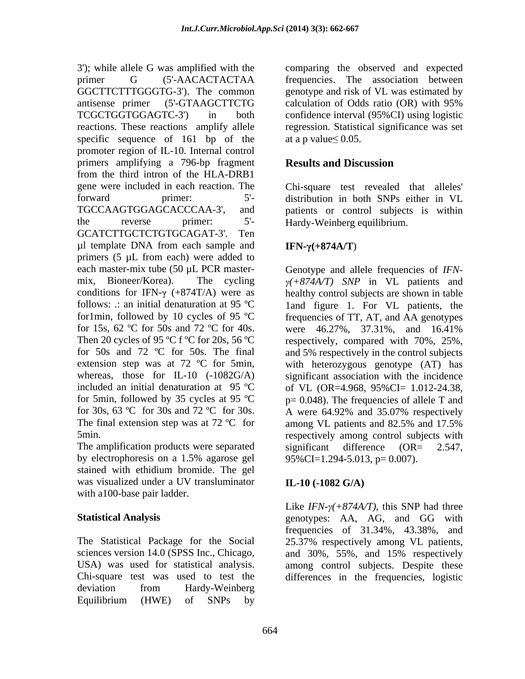primer G (5'-AACACTACTAA frequencies. The association between GGCTTCTTTGGGTG-3'). The common genotype and risk of VL was estimated by antisense primer (5'-GTAAGCTTCTG TCGCTGGTGGAGTC-3') in both confidence interval (95%CI) using logistic reactions. These reactions amplify allele regression. Statistical significance was set specific sequence of 161 bp of the at a p value  $\leq 0.05$ . promoter region of IL-10. Internal control primers amplifying a 796-bp fragment **Results and Discussion** from the third intron of the HLA-DRB1 gene were included in each reaction. The Chi-square test revealed that alleles' forward primer: 5'- distribution in both SNPs either in VL TGCCAAGTGGAGCACCCAA-3', and patients or control subjects is within the reverse primer: 5'- Hardy-Weinberg equilibrium. GCATCTTGCTCTGTGCAGAT-3'. Ten  $\mu$ l template DNA from each sample and **IFN-** $\gamma$ **(+874A/T)** primers (5 µL from each) were added to each master-mix tube (50  $\mu$ L PCR master-<br>Genotype and allele frequencies of *IFN*mix, Bioneer/Korea). The cycling  $\gamma(+874A/T)$  *SNP* in VL patients and conditions for IFN- $\gamma$  (+874T/A) were as follows: .: an initial denaturation at 95 ºC 1and figure 1. For VL patients, the for1min, followed by 10 cycles of 95 ºC frequencies of TT, AT, and AA genotypes for 15s, 62 °C for 50s and 72 °C for 40s. were 46.27%, 37.31%, and 16.41% Then 20 cycles of 95 °C f °C for 20s, 56 °C respectively, compared with 70%, 25%, for  $50s$  and  $72 °C$  for  $50s$ . The final extension step was at 72 ºC for 5min, with heterozygous genotype (AT) has whereas, those for IL-10 (-1082G/A) significant association with the incidence included an initial denaturation at  $95 \text{ °C}$  of VL (OR=4.968, 95%CI= 1.012-24.38, for 5min, followed by 35 cycles at 95 °C  $p= 0.048$ ). The frequencies of allele T and for 30s, 63 °C for 30s and 72 °C for 30s. A were 64.92% and 35.07% respectively The final extension step was at 72  $^{\circ}$ C for among VL patients and 82.5% and 17.5%

The amplification products were separated significant difference  $(OR = 2.547,$ stained with ethidium bromide. The gel was visualized under a UV transluminator with a100-base pair ladder.

sciences version 14.0 (SPSS Inc., Chicago, and 30%, 55%, and 15% respectively Chi-square test was used to test the differences in the frequencies, logistic deviation from Hardy-Weinberg Equilibrium (HWE) of SNPs by

3'); while allele G was amplified with the comparing the observed and expected calculation of Odds ratio (OR) with 95% at a p value  $\leq 0.05$ .

# **Results and Discussion**

## **IFN-** $γ$ (+874A/T)

5min. respectively among control subjects with by electrophoresis on a 1.5% agarose gel  $95\%$ CI=1.294-5.013, p= 0.007). healthy control subjects are shown in table were 46.27%, 37.31%, and 16.41% and 5% respectively in the control subjects A were 64.92% and 35.07% respectively among VL patients and 82.5% and 17.5% significant difference (OR= 2.547,  $95\%$ CI=1.294-5.013, p= 0.007).

## **IL-10 (-1082 G/A)**

**Statistical Analysis** genotypes: AA, AG, and GG with The Statistical Package for the Social 25.37% respectively among VL patients, USA) was used for statistical analysis. among control subjects. Despite these Like  $IFN-\gamma(+874A/T)$ , this SNP had three frequencies of 31.34%, 43.38%, and and 30%, 55%, and 15% respectively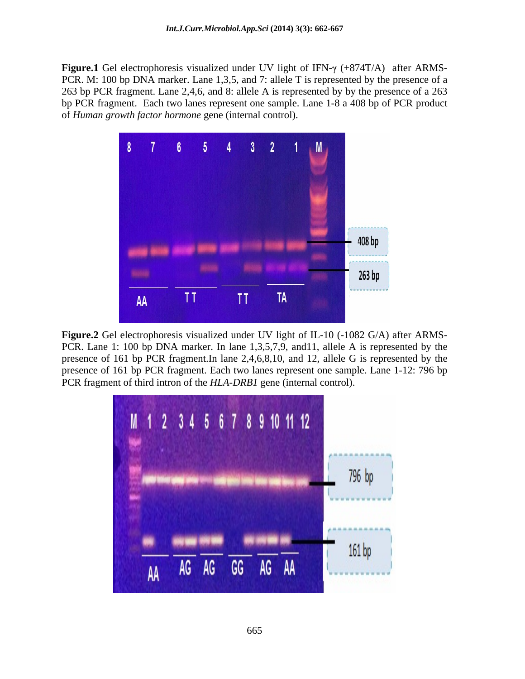**Figure.1** Gel electrophoresis visualized under UV light of IFN- $\gamma$  (+874T/A) after ARMS-PCR. M: 100 bp DNA marker. Lane 1,3,5, and 7: allele T is represented by the presence of a 263 bp PCR fragment. Lane 2,4,6, and 8: allele A is represented by by the presence of a 263 bp PCR fragment. Each two lanes represent one sample. Lane 1-8 a 408 bp of PCR product of *Human growth factor hormone* gene (internal control).



**Figure.2** Gel electrophoresis visualized under UV light of IL-10 (-1082 G/A) after ARMS- PCR. Lane 1: 100 bp DNA marker. In lane 1,3,5,7,9, and11, allele A is represented by the presence of 161 bp PCR fragment.In lane 2,4,6,8,10, and 12, allele G is represented by the presence of 161 bp PCR fragment. Each two lanes represent one sample. Lane 1-12: 796 bp PCR fragment of third intron of the *HLA-DRB1* gene (internal control).

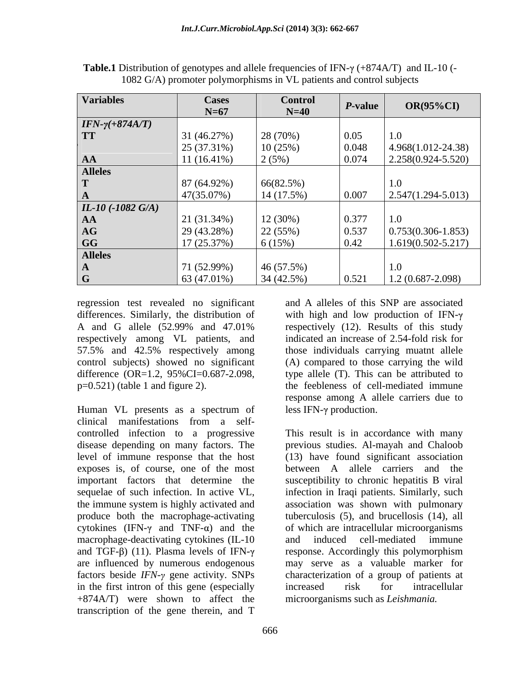| <b>Variables</b>        | <b>Cases</b>        | <b>Control</b> | P-value            | $OR(95\%CI)$              |
|-------------------------|---------------------|----------------|--------------------|---------------------------|
|                         | $N=67$              | $N=40$         |                    |                           |
| $IFN-\gamma(+874A/T)$   |                     |                |                    |                           |
| <b>TT</b>               | 31 (46.27%)         | 28 (70%)       | $\vert 0.05 \vert$ | 1.0                       |
|                         | 25 (37.31%)         | 10(25%)        | 0.048              | 4.968(1.012-24.38)        |
| AA                      | $11(16.41\%)$       | 2(5%)          | 0.074              | 2.258(0.924-5.520)        |
| <b>Alleles</b>          |                     |                |                    |                           |
|                         | 87 (64.92%)         | 66(82.5%)      |                    |                           |
|                         | 47(35.07%)          | $14(17.5\%)$   | 0.007              | $\mid$ 2.547(1.294-5.013) |
| $IL-10$ (-1082 G/A)     |                     |                |                    |                           |
| AA                      | 21 (31.34%)         | 12 (30%)       | 0.377              | 1.0                       |
| AG                      | 29 (43.28%)         | 22 (55%)       | 0.537              | $0.753(0.306 - 1.853)$    |
| $\overline{\mathbf{G}}$ | 17 (25.37%)         | 6(15%)         | $\vert$ 0.42       | $1.619(0.502 - 5.217)$    |
| <b>Alleles</b>          |                     |                |                    |                           |
|                         | 71 (52.99%)         | 46(57.5%)      |                    |                           |
| $\overline{G}$          | $\vert$ 63 (47.01%) | 34 (42.5%)     | 0.521              | $1.2(0.687 - 2.098)$      |

**Table.1** Distribution of genotypes and allele frequencies of IFN- $\gamma$  (+874A/T) and IL-10 (-1082 G/A) promoter polymorphisms in VL patients and control subjects

regression test revealed no significant and A alleles of this SNP are associated differences. Similarly, the distribution of with high and low production of IFN- $\gamma$ A and G allele (52.99% and 47.01% respectively among VL patients, and 57.5% and 42.5% respectively among control subjects) showed no significant (A) compared to those carrying the wild difference (OR=1.2, 95%CI=0.687-2.098, p=0.521) (table 1 and figure 2). the feebleness of cell-mediated immune

Human VL presents as a spectrum of less IFN-γ production. clinical manifestations from a self controlled infection to a progressive exposes is, of course, one of the most between A allele carriers and the cytokines (IFN- $\gamma$  and TNF- $\alpha$ ) and the macrophage-deactivating cytokines (IL-10 and induced cell-mediated immune factors beside *IFN-* $\gamma$  gene activity. SNPs in the first intron of this gene (especially increased risk for intracellular +874A/T) were shown to affect the transcription of the gene therein, and T

respectively (12). Results of this study indicated an increase of 2.54-fold risk for those individuals carrying muatnt allele type allele (T). This can be attributed to response among A allele carriers due to less IFN- $\gamma$  production.

disease depending on many factors. The previous studies. Al-mayah and Chaloob level of immune response that the host (13) have found significant association important factors that determine the susceptibility to chronic hepatitis B viral sequelae of such infection. In active VL, infection in Iraqi patients. Similarly, such the immune system is highly activated and association was shown with pulmonary produce both the macrophage-activating tuberculosis (5), and brucellosis (14), all and TGF- $\beta$ ) (11). Plasma levels of IFN- $\gamma$  response. Accordingly this polymorphism are influenced by numerous endogenous may serve as a valuable marker for This result is in accordance with many between A allele carriers and the of which are intracellular microorganisms and induced cell-mediated immune characterization of a group of patients at increased risk for intracellular microorganisms such as *Leishmania.*